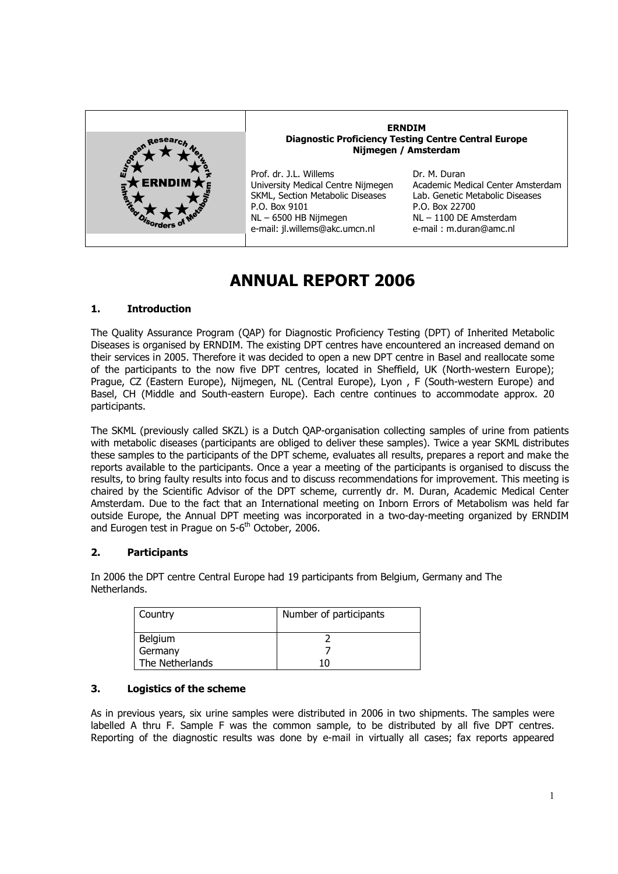

#### **ERNDIM Diagnostic Proficiency Testing Centre Central Europe Nijmegen / Amsterdam**

Prof. dr. J.L. Willems University Medical Centre Nijmegen SKML, Section Metabolic Diseases P.O. Box 9101 NL – 6500 HB Nijmegen e-mail: jl.willems@akc.umcn.nl

Dr. M. Duran Academic Medical Center Amsterdam Lab. Genetic Metabolic Diseases P.O. Box 22700 NL – 1100 DE Amsterdam e-mail : m.duran@amc.nl

# **ANNUAL REPORT 2006**

# **1. Introduction**

The Quality Assurance Program (QAP) for Diagnostic Proficiency Testing (DPT) of Inherited Metabolic Diseases is organised by ERNDIM. The existing DPT centres have encountered an increased demand on their services in 2005. Therefore it was decided to open a new DPT centre in Basel and reallocate some of the participants to the now five DPT centres, located in Sheffield, UK (North-western Europe); Prague, CZ (Eastern Europe), Nijmegen, NL (Central Europe), Lyon , F (South-western Europe) and Basel, CH (Middle and South-eastern Europe). Each centre continues to accommodate approx. 20 participants.

The SKML (previously called SKZL) is a Dutch QAP-organisation collecting samples of urine from patients with metabolic diseases (participants are obliged to deliver these samples). Twice a year SKML distributes these samples to the participants of the DPT scheme, evaluates all results, prepares a report and make the reports available to the participants. Once a year a meeting of the participants is organised to discuss the results, to bring faulty results into focus and to discuss recommendations for improvement. This meeting is chaired by the Scientific Advisor of the DPT scheme, currently dr. M. Duran, Academic Medical Center Amsterdam. Due to the fact that an International meeting on Inborn Errors of Metabolism was held far outside Europe, the Annual DPT meeting was incorporated in a two-day-meeting organized by ERNDIM and Eurogen test in Prague on  $5-6$ <sup>th</sup> October, 2006.

# **2. Participants**

In 2006 the DPT centre Central Europe had 19 participants from Belgium, Germany and The Netherlands.

| Country         | Number of participants |
|-----------------|------------------------|
| <b>Belgium</b>  |                        |
| Germany         |                        |
| The Netherlands |                        |

# **3. Logistics of the scheme**

As in previous years, six urine samples were distributed in 2006 in two shipments. The samples were labelled A thru F. Sample F was the common sample, to be distributed by all five DPT centres. Reporting of the diagnostic results was done by e-mail in virtually all cases; fax reports appeared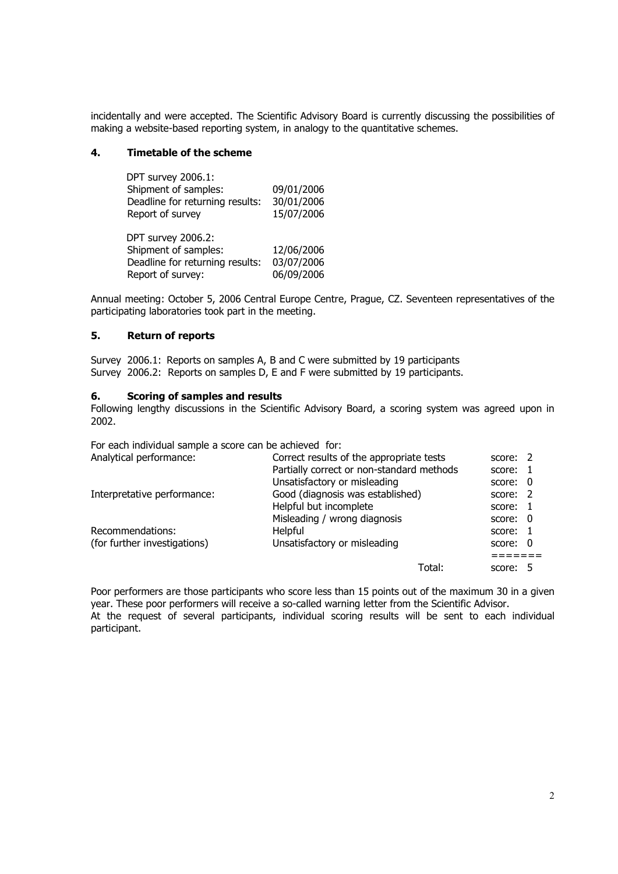incidentally and were accepted. The Scientific Advisory Board is currently discussing the possibilities of making a website-based reporting system, in analogy to the quantitative schemes.

## **4. Timetable of the scheme**

| DPT survey 2006.1:              |            |
|---------------------------------|------------|
| Shipment of samples:            | 09/01/2006 |
| Deadline for returning results: | 30/01/2006 |
| Report of survey                | 15/07/2006 |
|                                 |            |
| <b>DPT survey 2006.2:</b>       |            |

| DP I SUIVEY ZUUD.Z.             |            |
|---------------------------------|------------|
| Shipment of samples:            | 12/06/2006 |
| Deadline for returning results: | 03/07/2006 |
| Report of survey:               | 06/09/2006 |

Annual meeting: October 5, 2006 Central Europe Centre, Prague, CZ. Seventeen representatives of the participating laboratories took part in the meeting.

## **5. Return of reports**

Survey 2006.1: Reports on samples A, B and C were submitted by 19 participants Survey 2006.2: Reports on samples D, E and F were submitted by 19 participants.

## **6. Scoring of samples and results**

Following lengthy discussions in the Scientific Advisory Board, a scoring system was agreed upon in 2002.

For each individual sample a score can be achieved for:

| Analytical performance:      | Correct results of the appropriate tests  | score: 2 |  |
|------------------------------|-------------------------------------------|----------|--|
|                              | Partially correct or non-standard methods | score:   |  |
|                              | Unsatisfactory or misleading              | score: 0 |  |
| Interpretative performance:  | Good (diagnosis was established)          | score: 2 |  |
|                              | Helpful but incomplete                    | score: 1 |  |
|                              | Misleading / wrong diagnosis              | score: 0 |  |
| Recommendations:             | Helpful                                   | score:   |  |
| (for further investigations) | Unsatisfactory or misleading              | score: 0 |  |
|                              |                                           |          |  |
|                              | Total:                                    | score: 5 |  |

Poor performers are those participants who score less than 15 points out of the maximum 30 in a given year. These poor performers will receive a so-called warning letter from the Scientific Advisor. At the request of several participants, individual scoring results will be sent to each individual participant.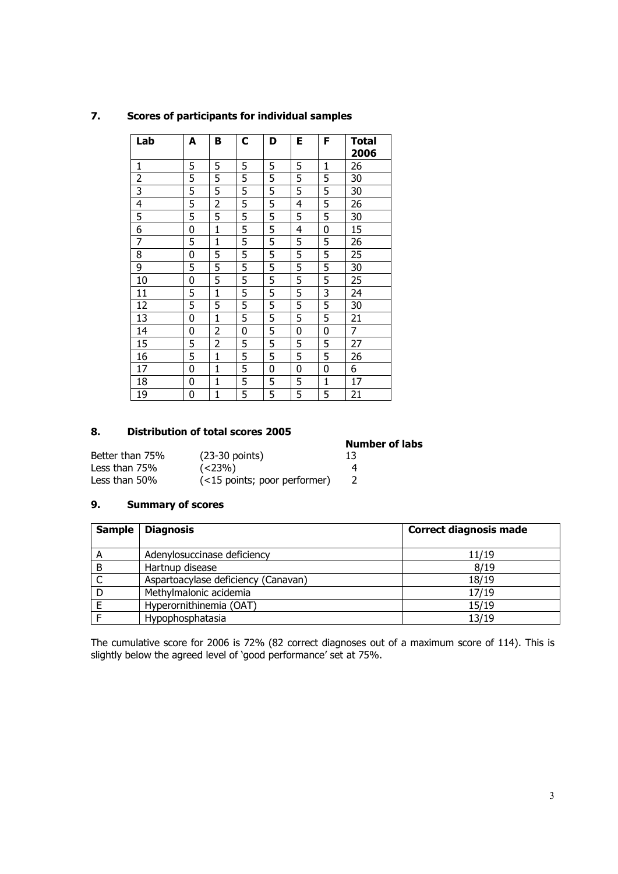| Lab                     | A           | в              | C | D | Е | F            | Total<br>2006 |
|-------------------------|-------------|----------------|---|---|---|--------------|---------------|
| 1                       | 5           | 5              | 5 | 5 | 5 | $\mathbf{1}$ | 26            |
| $\overline{\mathbf{c}}$ | 5           | 5              | 5 | 5 | 5 | 5            | 30            |
| $\overline{3}$          | 5           | 5              | 5 | 5 | 5 | 5            | 30            |
| 4                       | 5           | $\overline{2}$ | 5 | 5 | 4 | 5            | 26            |
| 5                       | 5           | 5              | 5 | 5 | 5 | 5            | 30            |
| 6                       | 0           | $\mathbf{1}$   | 5 | 5 | 4 | 0            | 15            |
| 7                       | 5           | $\mathbf{1}$   | 5 | 5 | 5 | 5            | 26            |
| 8                       | $\mathbf 0$ | 5              | 5 | 5 | 5 | 5            | 25            |
| 9                       | 5           | 5              | 5 | 5 | 5 | 5            | 30            |
| 10                      | 0           | 5              | 5 | 5 | 5 | 5            | 25            |
| 11                      | 5           | $\mathbf{1}$   | 5 | 5 | 5 | 3            | 24            |
| 12                      | 5           | 5              | 5 | 5 | 5 | 5            | 30            |
| 13                      | 0           | $\mathbf{1}$   | 5 | 5 | 5 | 5            | 21            |
| 14                      | 0           | $\overline{2}$ | 0 | 5 | 0 | 0            | 7             |
| 15                      | 5           | $\overline{2}$ | 5 | 5 | 5 | 5            | 27            |
| 16                      | 5           | $\mathbf{1}$   | 5 | 5 | 5 | 5            | 26            |
| 17                      | 0           | $\mathbf{1}$   | 5 | 0 | 0 | 0            | 6             |
| 18                      | 0           | $\mathbf{1}$   | 5 | 5 | 5 | $\mathbf{1}$ | 17            |
| 19                      | 0           | $\mathbf{1}$   | 5 | 5 | 5 | 5            | 21            |

# **7. Scores of participants for individual samples**

## **8. Distribution of total scores 2005**

|                 |                              | <b>Number of labs</b> |
|-----------------|------------------------------|-----------------------|
| Better than 75% | $(23-30$ points)             | 13                    |
| Less than 75%   | $(< 23\%)$                   |                       |
| Less than 50%   | (<15 points; poor performer) |                       |

## **9. Summary of scores**

| <b>Sample</b> | <b>Diagnosis</b>                    | <b>Correct diagnosis made</b> |
|---------------|-------------------------------------|-------------------------------|
|               |                                     |                               |
| A             | Adenylosuccinase deficiency         | 11/19                         |
| B             | Hartnup disease                     | 8/19                          |
|               | Aspartoacylase deficiency (Canavan) | 18/19                         |
|               | Methylmalonic acidemia              | 17/19                         |
|               | Hyperornithinemia (OAT)             | 15/19                         |
|               | Hypophosphatasia                    | 13/19                         |

The cumulative score for 2006 is 72% (82 correct diagnoses out of a maximum score of 114). This is slightly below the agreed level of 'good performance' set at 75%.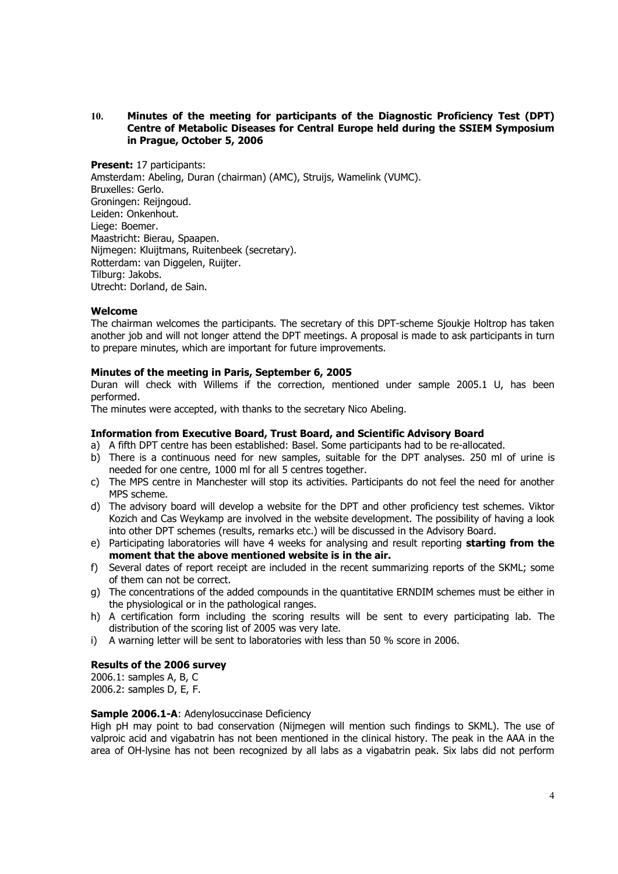## **10. Minutes of the meeting for participants of the Diagnostic Proficiency Test (DPT) Centre of Metabolic Diseases for Central Europe held during the SSIEM Symposium in Prague, October 5, 2006**

**Present:** 17 participants: Amsterdam: Abeling, Duran (chairman) (AMC), Struijs, Wamelink (VUMC). Bruxelles: Gerlo. Groningen: Reijngoud. Leiden: Onkenhout. Liege: Boemer. Maastricht: Bierau, Spaapen. Nijmegen: Kluijtmans, Ruitenbeek (secretary). Rotterdam: van Diggelen, Ruijter. Tilburg: Jakobs. Utrecht: Dorland, de Sain.

## **Welcome**

The chairman welcomes the participants. The secretary of this DPT-scheme Sjoukje Holtrop has taken another job and will not longer attend the DPT meetings. A proposal is made to ask participants in turn to prepare minutes, which are important for future improvements.

## **Minutes of the meeting in Paris, September 6, 2005**

Duran will check with Willems if the correction, mentioned under sample 2005.1 U, has been performed.

The minutes were accepted, with thanks to the secretary Nico Abeling.

## **Information from Executive Board, Trust Board, and Scientific Advisory Board**

- a) A fifth DPT centre has been established: Basel. Some participants had to be re-allocated.
- b) There is a continuous need for new samples, suitable for the DPT analyses. 250 ml of urine is needed for one centre, 1000 ml for all 5 centres together.
- c) The MPS centre in Manchester will stop its activities. Participants do not feel the need for another MPS scheme.
- d) The advisory board will develop a website for the DPT and other proficiency test schemes. Viktor Kozich and Cas Weykamp are involved in the website development. The possibility of having a look into other DPT schemes (results, remarks etc.) will be discussed in the Advisory Board.
- e) Participating laboratories will have 4 weeks for analysing and result reporting **starting from the moment that the above mentioned website is in the air.**
- f) Several dates of report receipt are included in the recent summarizing reports of the SKML; some of them can not be correct.
- g) The concentrations of the added compounds in the quantitative ERNDIM schemes must be either in the physiological or in the pathological ranges.
- h) A certification form including the scoring results will be sent to every participating lab. The distribution of the scoring list of 2005 was very late.
- i) A warning letter will be sent to laboratories with less than 50 % score in 2006.

## **Results of the 2006 survey**

2006.1: samples A, B, C 2006.2: samples D, E, F.

## **Sample 2006.1-A**: Adenylosuccinase Deficiency

High pH may point to bad conservation (Nijmegen will mention such findings to SKML). The use of valproic acid and vigabatrin has not been mentioned in the clinical history. The peak in the AAA in the area of OH-lysine has not been recognized by all labs as a vigabatrin peak. Six labs did not perform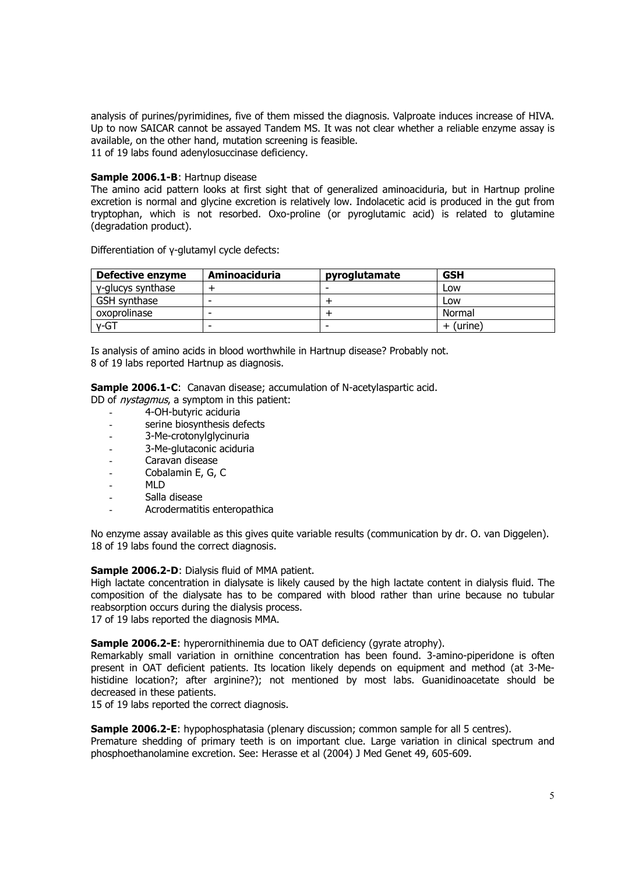analysis of purines/pyrimidines, five of them missed the diagnosis. Valproate induces increase of HIVA. Up to now SAICAR cannot be assayed Tandem MS. It was not clear whether a reliable enzyme assay is available, on the other hand, mutation screening is feasible. 11 of 19 labs found adenylosuccinase deficiency.

## **Sample 2006.1-B**: Hartnup disease

The amino acid pattern looks at first sight that of generalized aminoaciduria, but in Hartnup proline excretion is normal and glycine excretion is relatively low. Indolacetic acid is produced in the gut from tryptophan, which is not resorbed. Oxo-proline (or pyroglutamic acid) is related to glutamine (degradation product).

**Defective enzyme** Aminoaciduria pyroglutamate GSH  $\gamma$ -glucys synthase  $+$  -  $-$  -  $\gamma$  Low GSH synthase  $\vert - \vert$   $\vert$  +  $\vert$  Low oxoprolinase  $\vert$  -  $\vert$  +  $\vert$  Normal γ-GT - - + (urine)

Differentiation of γ-glutamyl cycle defects:

Is analysis of amino acids in blood worthwhile in Hartnup disease? Probably not. 8 of 19 labs reported Hartnup as diagnosis.

**Sample 2006.1-C:** Canavan disease; accumulation of N-acetylaspartic acid.

- DD of nystagmus, a symptom in this patient:
	- 4-OH-butyric aciduria
	- serine biosynthesis defects
	- 3-Me-crotonylglycinuria
	- 3-Me-glutaconic aciduria
	- Caravan disease
	- Cobalamin E, G, C
	- MLD
	- Salla disease
	- Acrodermatitis enteropathica

No enzyme assay available as this gives quite variable results (communication by dr. O. van Diggelen). 18 of 19 labs found the correct diagnosis.

**Sample 2006.2-D**: Dialysis fluid of MMA patient.

High lactate concentration in dialysate is likely caused by the high lactate content in dialysis fluid. The composition of the dialysate has to be compared with blood rather than urine because no tubular reabsorption occurs during the dialysis process.

17 of 19 labs reported the diagnosis MMA.

**Sample 2006.2-E:** hyperornithinemia due to OAT deficiency (gyrate atrophy).

Remarkably small variation in ornithine concentration has been found. 3-amino-piperidone is often present in OAT deficient patients. Its location likely depends on equipment and method (at 3-Mehistidine location?; after arginine?); not mentioned by most labs. Guanidinoacetate should be decreased in these patients.

15 of 19 labs reported the correct diagnosis.

**Sample 2006.2-E**: hypophosphatasia (plenary discussion; common sample for all 5 centres). Premature shedding of primary teeth is on important clue. Large variation in clinical spectrum and phosphoethanolamine excretion. See: Herasse et al (2004) J Med Genet 49, 605-609.